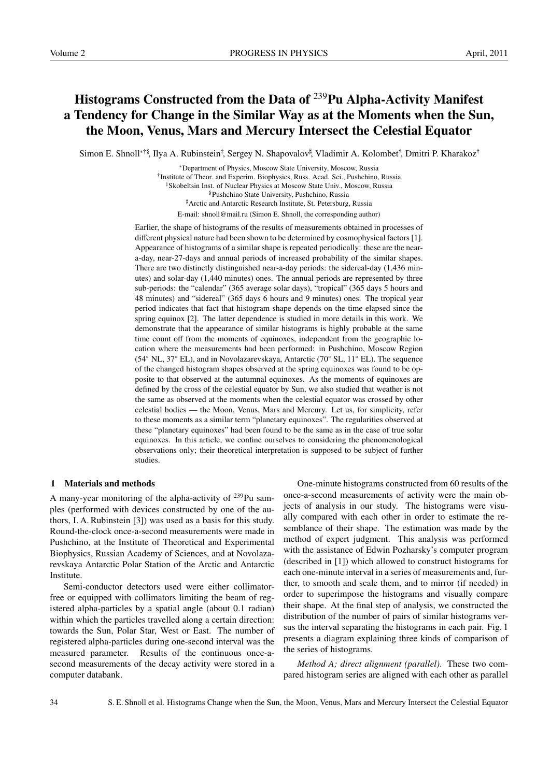# Histograms Constructed from the Data of <sup>239</sup>Pu Alpha-Activity Manifest a Tendency for Change in the Similar Way as at the Moments when the Sun, the Moon, Venus, Mars and Mercury Intersect the Celestial Equator

Simon E. Shnoll<sup>∗†§</sup>, Ilya A. Rubinstein<sup>‡</sup>, Sergey N. Shapovalov<sup>#</sup>, Vladimir A. Kolombet<sup>†</sup>, Dmitri P. Kharakoz<sup>†</sup>

∗Department of Physics, Moscow State University, Moscow, Russia † Institute of Theor. and Experim. Biophysics, Russ. Acad. Sci., Pushchino, Russia ‡Skobeltsin Inst. of Nuclear Physics at Moscow State Univ., Moscow, Russia §Pushchino State University, Pushchino, Russia ]Arctic and Antarctic Research Institute, St. Petersburg, Russia E-mail: shnoll@mail.ru (Simon E. Shnoll, the corresponding author)

Earlier, the shape of histograms of the results of measurements obtained in processes of different physical nature had been shown to be determined by cosmophysical factors [1]. Appearance of histograms of a similar shape is repeated periodically: these are the neara-day, near-27-days and annual periods of increased probability of the similar shapes. There are two distinctly distinguished near-a-day periods: the sidereal-day (1,436 minutes) and solar-day (1,440 minutes) ones. The annual periods are represented by three sub-periods: the "calendar" (365 average solar days), "tropical" (365 days 5 hours and 48 minutes) and "sidereal" (365 days 6 hours and 9 minutes) ones. The tropical year period indicates that fact that histogram shape depends on the time elapsed since the spring equinox [2]. The latter dependence is studied in more details in this work. We demonstrate that the appearance of similar histograms is highly probable at the same time count off from the moments of equinoxes, independent from the geographic location where the measurements had been performed: in Pushchino, Moscow Region (54◦ NL, 37◦ EL), and in Novolazarevskaya, Antarctic (70◦ SL, 11◦ EL). The sequence of the changed histogram shapes observed at the spring equinoxes was found to be opposite to that observed at the autumnal equinoxes. As the moments of equinoxes are defined by the cross of the celestial equator by Sun, we also studied that weather is not the same as observed at the moments when the celestial equator was crossed by other celestial bodies — the Moon, Venus, Mars and Mercury. Let us, for simplicity, refer to these moments as a similar term "planetary equinoxes". The regularities observed at these "planetary equinoxes" had been found to be the same as in the case of true solar equinoxes. In this article, we confine ourselves to considering the phenomenological observations only; their theoretical interpretation is supposed to be subject of further studies.

## 1 Materials and methods

A many-year monitoring of the alpha-activity of  $^{239}$ Pu samples (performed with devices constructed by one of the authors, I. A. Rubinstein [3]) was used as a basis for this study. Round-the-clock once-a-second measurements were made in Pushchino, at the Institute of Theoretical and Experimental Biophysics, Russian Academy of Sciences, and at Novolazarevskaya Antarctic Polar Station of the Arctic and Antarctic Institute.

Semi-conductor detectors used were either collimatorfree or equipped with collimators limiting the beam of registered alpha-particles by a spatial angle (about 0.1 radian) within which the particles travelled along a certain direction: towards the Sun, Polar Star, West or East. The number of registered alpha-particles during one-second interval was the measured parameter. Results of the continuous once-asecond measurements of the decay activity were stored in a computer databank.

One-minute histograms constructed from 60 results of the once-a-second measurements of activity were the main objects of analysis in our study. The histograms were visually compared with each other in order to estimate the resemblance of their shape. The estimation was made by the method of expert judgment. This analysis was performed with the assistance of Edwin Pozharsky's computer program (described in [1]) which allowed to construct histograms for each one-minute interval in a series of measurements and, further, to smooth and scale them, and to mirror (if needed) in order to superimpose the histograms and visually compare their shape. At the final step of analysis, we constructed the distribution of the number of pairs of similar histograms versus the interval separating the histograms in each pair. Fig. 1 presents a diagram explaining three kinds of comparison of the series of histograms.

*Method A; direct alignment (parallel)*. These two compared histogram series are aligned with each other as parallel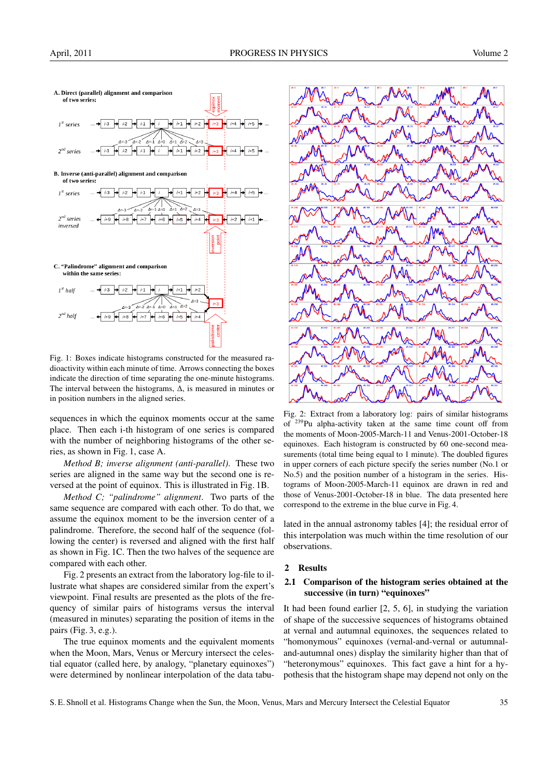

Fig. 1: Boxes indicate histograms constructed for the measured radioactivity within each minute of time. Arrows connecting the boxes indicate the direction of time separating the one-minute histograms. The interval between the histograms, ∆, is measured in minutes or in position numbers in the aligned series.

sequences in which the equinox moments occur at the same place. Then each i-th histogram of one series is compared with the number of neighboring histograms of the other series, as shown in Fig. 1, case A.

*Method B; inverse alignment (anti-parallel)*. These two series are aligned in the same way but the second one is reversed at the point of equinox. This is illustrated in Fig. 1B.

*Method C; "palindrome" alignment*. Two parts of the same sequence are compared with each other. To do that, we assume the equinox moment to be the inversion center of a palindrome. Therefore, the second half of the sequence (following the center) is reversed and aligned with the first half as shown in Fig. 1C. Then the two halves of the sequence are compared with each other.

Fig. 2 presents an extract from the laboratory log-file to illustrate what shapes are considered similar from the expert's viewpoint. Final results are presented as the plots of the frequency of similar pairs of histograms versus the interval (measured in minutes) separating the position of items in the pairs (Fig. 3, e.g.).

The true equinox moments and the equivalent moments when the Moon, Mars, Venus or Mercury intersect the celestial equator (called here, by analogy, "planetary equinoxes") were determined by nonlinear interpolation of the data tabu-



Fig. 2: Extract from a laboratory log: pairs of similar histograms of <sup>239</sup>Pu alpha-activity taken at the same time count off from the moments of Moon-2005-March-11 and Venus-2001-October-18 equinoxes. Each histogram is constructed by 60 one-second measurements (total time being equal to 1 minute). The doubled figures in upper corners of each picture specify the series number (No.1 or No.5) and the position number of a histogram in the series. Histograms of Moon-2005-March-11 equinox are drawn in red and those of Venus-2001-October-18 in blue. The data presented here correspond to the extreme in the blue curve in Fig. 4.

lated in the annual astronomy tables [4]; the residual error of this interpolation was much within the time resolution of our observations.

#### 2 Results

## 2.1 Comparison of the histogram series obtained at the successive (in turn) "equinoxes"

It had been found earlier [2, 5, 6], in studying the variation of shape of the successive sequences of histograms obtained at vernal and autumnal equinoxes, the sequences related to "homonymous" equinoxes (vernal-and-vernal or autumnaland-autumnal ones) display the similarity higher than that of "heteronymous" equinoxes. This fact gave a hint for a hypothesis that the histogram shape may depend not only on the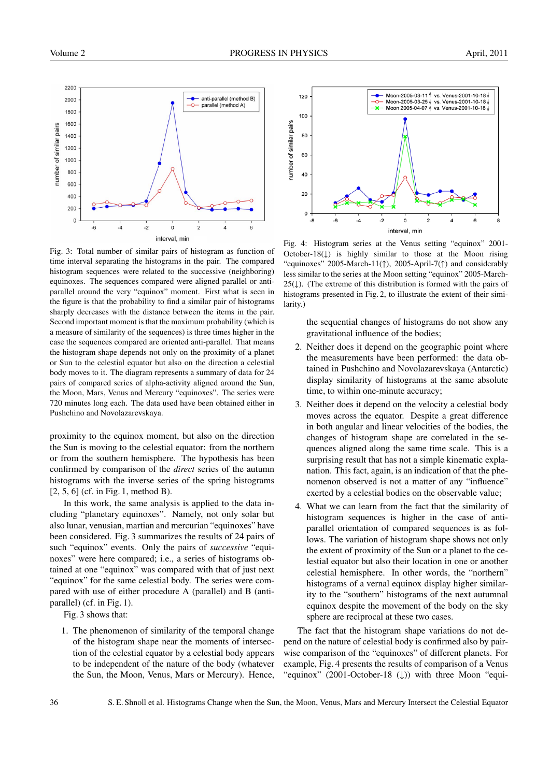

Fig. 3: Total number of similar pairs of histogram as function of time interval separating the histograms in the pair. The compared histogram sequences were related to the successive (neighboring) equinoxes. The sequences compared were aligned parallel or antiparallel around the very "equinox" moment. First what is seen in the figure is that the probability to find a similar pair of histograms sharply decreases with the distance between the items in the pair. Second important moment is that the maximum probability (which is a measure of similarity of the sequences) is three times higher in the case the sequences compared are oriented anti-parallel. That means the histogram shape depends not only on the proximity of a planet or Sun to the celestial equator but also on the direction a celestial body moves to it. The diagram represents a summary of data for 24 pairs of compared series of alpha-activity aligned around the Sun, the Moon, Mars, Venus and Mercury "equinoxes". The series were 720 minutes long each. The data used have been obtained either in Pushchino and Novolazarevskaya.

proximity to the equinox moment, but also on the direction the Sun is moving to the celestial equator: from the northern or from the southern hemisphere. The hypothesis has been confirmed by comparison of the *direct* series of the autumn histograms with the inverse series of the spring histograms [2, 5, 6] (cf. in Fig. 1, method B).

In this work, the same analysis is applied to the data including "planetary equinoxes". Namely, not only solar but also lunar, venusian, martian and mercurian "equinoxes" have been considered. Fig. 3 summarizes the results of 24 pairs of such "equinox" events. Only the pairs of *successive* "equinoxes" were here compared; i.e., a series of histograms obtained at one "equinox" was compared with that of just next "equinox" for the same celestial body. The series were compared with use of either procedure A (parallel) and B (antiparallel) (cf. in Fig. 1).

Fig. 3 shows that:

1. The phenomenon of similarity of the temporal change of the histogram shape near the moments of intersection of the celestial equator by a celestial body appears to be independent of the nature of the body (whatever the Sun, the Moon, Venus, Mars or Mercury). Hence,



Fig. 4: Histogram series at the Venus setting "equinox" 2001- October-18 $(1)$  is highly similar to those at the Moon rising "equinoxes" 2005-March-11(↑), 2005-April-7(↑) and considerably less similar to the series at the Moon setting "equinox" 2005-March- $25(\downarrow)$ . (The extreme of this distribution is formed with the pairs of histograms presented in Fig. 2, to illustrate the extent of their similarity.)

the sequential changes of histograms do not show any gravitational influence of the bodies;

- 2. Neither does it depend on the geographic point where the measurements have been performed: the data obtained in Pushchino and Novolazarevskaya (Antarctic) display similarity of histograms at the same absolute time, to within one-minute accuracy;
- 3. Neither does it depend on the velocity a celestial body moves across the equator. Despite a great difference in both angular and linear velocities of the bodies, the changes of histogram shape are correlated in the sequences aligned along the same time scale. This is a surprising result that has not a simple kinematic explanation. This fact, again, is an indication of that the phenomenon observed is not a matter of any "influence" exerted by a celestial bodies on the observable value;
- 4. What we can learn from the fact that the similarity of histogram sequences is higher in the case of antiparallel orientation of compared sequences is as follows. The variation of histogram shape shows not only the extent of proximity of the Sun or a planet to the celestial equator but also their location in one or another celestial hemisphere. In other words, the "northern" histograms of a vernal equinox display higher similarity to the "southern" histograms of the next autumnal equinox despite the movement of the body on the sky sphere are reciprocal at these two cases.

The fact that the histogram shape variations do not depend on the nature of celestial body is confirmed also by pairwise comparison of the "equinoxes" of different planets. For example, Fig. 4 presents the results of comparison of a Venus "equinox" (2001-October-18 (↓)) with three Moon "equi-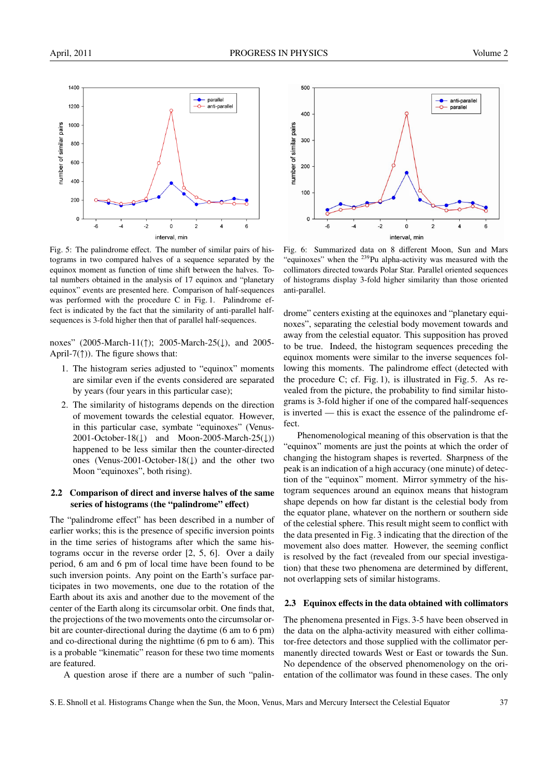

Fig. 5: The palindrome effect. The number of similar pairs of histograms in two compared halves of a sequence separated by the equinox moment as function of time shift between the halves. Total numbers obtained in the analysis of 17 equinox and "planetary equinox" events are presented here. Comparison of half-sequences was performed with the procedure C in Fig. 1. Palindrome effect is indicated by the fact that the similarity of anti-parallel halfsequences is 3-fold higher then that of parallel half-sequences.

noxes" (2005-March-11(↑); 2005-March-25(↓), and 2005- April-7( $\uparrow$ )). The figure shows that:

- 1. The histogram series adjusted to "equinox" moments are similar even if the events considered are separated by years (four years in this particular case);
- 2. The similarity of histograms depends on the direction of movement towards the celestial equator. However, in this particular case, symbate "equinoxes" (Venus-2001-October-18( $\downarrow$ ) and Moon-2005-March-25( $\downarrow$ )) happened to be less similar then the counter-directed ones (Venus-2001-October-18(↓) and the other two Moon "equinoxes", both rising).

## 2.2 Comparison of direct and inverse halves of the same series of histograms (the "palindrome" effect)

The "palindrome effect" has been described in a number of earlier works; this is the presence of specific inversion points in the time series of histograms after which the same histograms occur in the reverse order [2, 5, 6]. Over a daily period, 6 am and 6 pm of local time have been found to be such inversion points. Any point on the Earth's surface participates in two movements, one due to the rotation of the Earth about its axis and another due to the movement of the center of the Earth along its circumsolar orbit. One finds that, the projections of the two movements onto the circumsolar orbit are counter-directional during the daytime (6 am to 6 pm) and co-directional during the nighttime (6 pm to 6 am). This is a probable "kinematic" reason for these two time moments are featured.

A question arose if there are a number of such "palin-



Fig. 6: Summarized data on 8 different Moon, Sun and Mars "equinoxes" when the <sup>239</sup>Pu alpha-activity was measured with the collimators directed towards Polar Star. Parallel oriented sequences of histograms display 3-fold higher similarity than those oriented anti-parallel.

drome" centers existing at the equinoxes and "planetary equinoxes", separating the celestial body movement towards and away from the celestial equator. This supposition has proved to be true. Indeed, the histogram sequences preceding the equinox moments were similar to the inverse sequences following this moments. The palindrome effect (detected with the procedure C; cf. Fig. 1), is illustrated in Fig. 5. As revealed from the picture, the probability to find similar histograms is 3-fold higher if one of the compared half-sequences is inverted — this is exact the essence of the palindrome effect.

Phenomenological meaning of this observation is that the "equinox" moments are just the points at which the order of changing the histogram shapes is reverted. Sharpness of the peak is an indication of a high accuracy (one minute) of detection of the "equinox" moment. Mirror symmetry of the histogram sequences around an equinox means that histogram shape depends on how far distant is the celestial body from the equator plane, whatever on the northern or southern side of the celestial sphere. This result might seem to conflict with the data presented in Fig. 3 indicating that the direction of the movement also does matter. However, the seeming conflict is resolved by the fact (revealed from our special investigation) that these two phenomena are determined by different, not overlapping sets of similar histograms.

#### 2.3 Equinox effects in the data obtained with collimators

The phenomena presented in Figs. 3-5 have been observed in the data on the alpha-activity measured with either collimator-free detectors and those supplied with the collimator permanently directed towards West or East or towards the Sun. No dependence of the observed phenomenology on the orientation of the collimator was found in these cases. The only